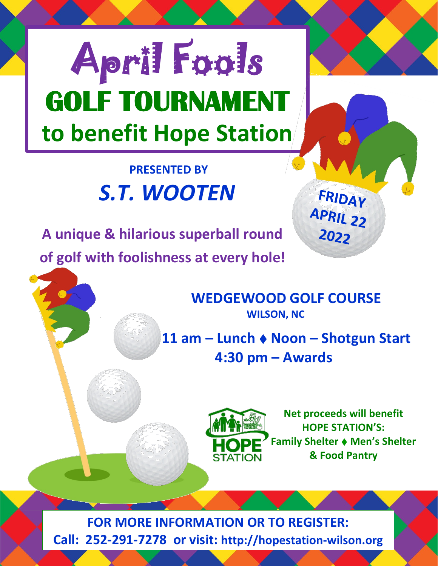# **to benefit Hope Station** April Fools **GOLF TOURNAMENT**

### **PRESENTED BY** *S.T. WOOTEN*

 **A unique & hilarious superball round of golf with foolishness at every hole!**

**WEDGEWOOD GOLF COURSE**<br>WILSON, NC

 **11 am – Lunch Noon – Shotgun Start 4:30 pm – Awards**



**Net proceeds will benefit HOPE STATION'S: Family Shelter Men's Shelter & Food Pantry**

FRIDAY

APRIL 22

2022

**FOR MORE INFORMATION OR TO REGISTER: Call: 252-291-7278 or visit: http://hopestation-wilson.org**